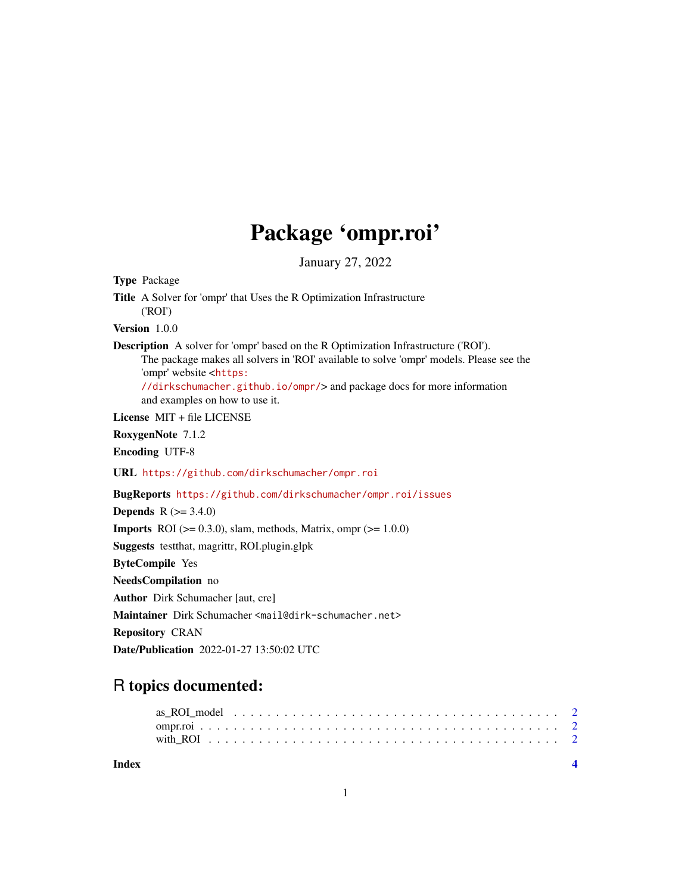## Package 'ompr.roi'

January 27, 2022

<span id="page-0-0"></span>Type Package Title A Solver for 'ompr' that Uses the R Optimization Infrastructure ('ROI') Version 1.0.0 Description A solver for 'ompr' based on the R Optimization Infrastructure ('ROI'). The package makes all solvers in 'ROI' available to solve 'ompr' models. Please see the 'ompr' website <[https:](https://dirkschumacher.github.io/ompr/) [//dirkschumacher.github.io/ompr/](https://dirkschumacher.github.io/ompr/)> and package docs for more information and examples on how to use it. License MIT + file LICENSE RoxygenNote 7.1.2 Encoding UTF-8 URL <https://github.com/dirkschumacher/ompr.roi> BugReports <https://github.com/dirkschumacher/ompr.roi/issues> **Depends**  $R (= 3.4.0)$ **Imports** ROI ( $> = 0.3.0$ ), slam, methods, Matrix, ompr ( $> = 1.0.0$ ) Suggests testthat, magrittr, ROI.plugin.glpk ByteCompile Yes NeedsCompilation no Author Dirk Schumacher [aut, cre] Maintainer Dirk Schumacher <mail@dirk-schumacher.net> Repository CRAN

Date/Publication 2022-01-27 13:50:02 UTC

### R topics documented:

| Index |  |  |  |  |  |  |  |  |  |  |  |  |  |  |  |  |  |
|-------|--|--|--|--|--|--|--|--|--|--|--|--|--|--|--|--|--|
|       |  |  |  |  |  |  |  |  |  |  |  |  |  |  |  |  |  |
|       |  |  |  |  |  |  |  |  |  |  |  |  |  |  |  |  |  |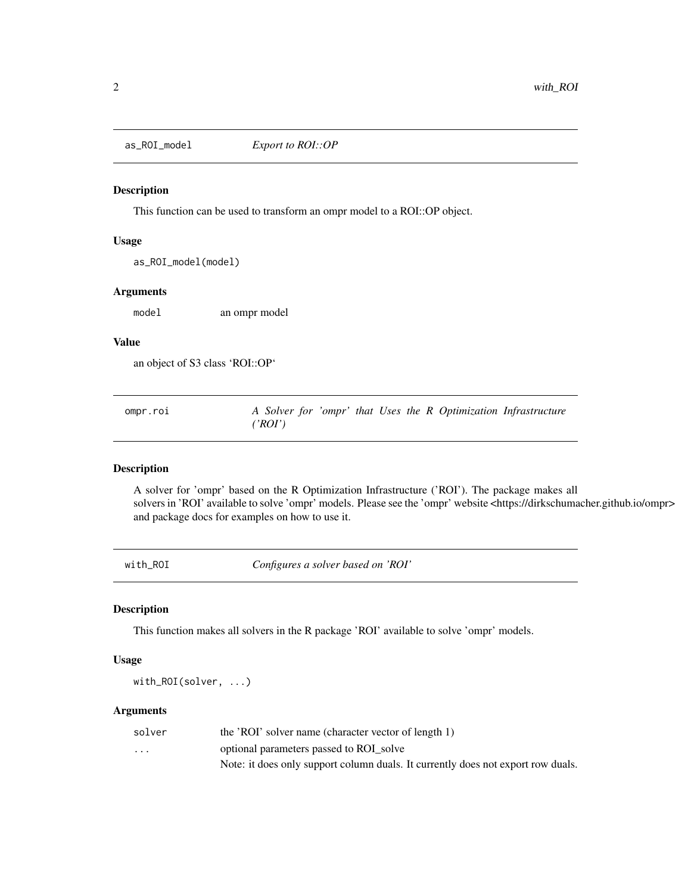<span id="page-1-0"></span>

#### Description

This function can be used to transform an ompr model to a ROI::OP object.

#### Usage

as\_ROI\_model(model)

#### Arguments

model an ompr model

#### Value

an object of S3 class 'ROI::OP'

| ompr.roi |         |  |  |  | A Solver for 'ompr' that Uses the R Optimization Infrastructure |  |
|----------|---------|--|--|--|-----------------------------------------------------------------|--|
|          | ('ROI') |  |  |  |                                                                 |  |

#### Description

A solver for 'ompr' based on the R Optimization Infrastructure ('ROI'). The package makes all solvers in 'ROI' available to solve 'ompr' models. Please see the 'ompr' website <https://dirkschumacher.github.io/ompr> and package docs for examples on how to use it.

with\_ROI *Configures a solver based on 'ROI'*

#### Description

This function makes all solvers in the R package 'ROI' available to solve 'ompr' models.

#### Usage

with\_ROI(solver, ...)

#### Arguments

| solver  | the 'ROI' solver name (character vector of length 1)                             |
|---------|----------------------------------------------------------------------------------|
| $\cdot$ | optional parameters passed to ROI solve                                          |
|         | Note: it does only support column duals. It currently does not export row duals. |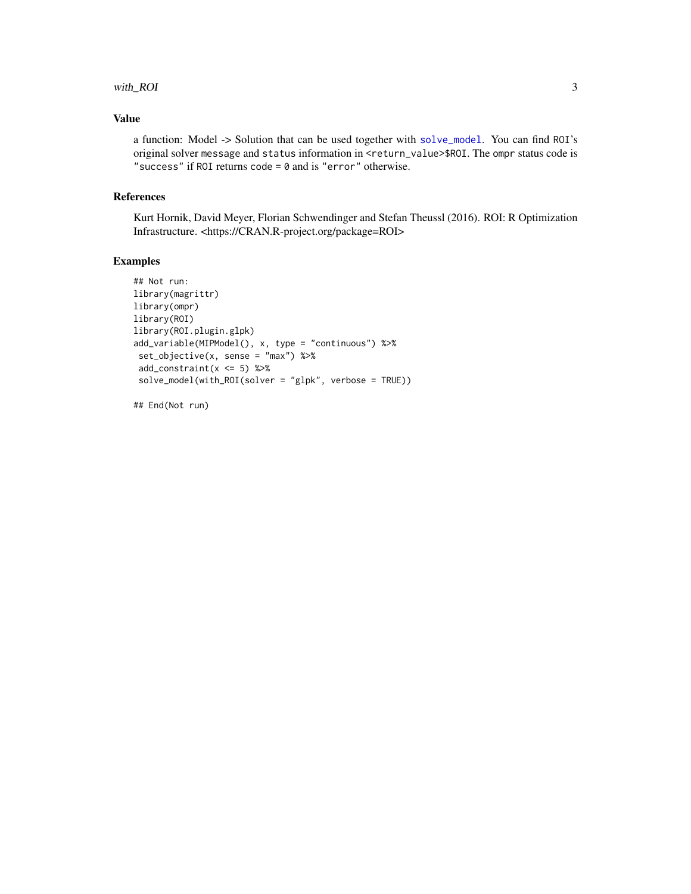#### <span id="page-2-0"></span>with\_ROI 3

#### Value

a function: Model -> Solution that can be used together with [solve\\_model](#page-0-0). You can find ROI's original solver message and status information in <return\_value>\$ROI. The ompr status code is "success" if ROI returns code =  $0$  and is "error" otherwise.

#### References

Kurt Hornik, David Meyer, Florian Schwendinger and Stefan Theussl (2016). ROI: R Optimization Infrastructure. <https://CRAN.R-project.org/package=ROI>

#### Examples

```
## Not run:
library(magrittr)
library(ompr)
library(ROI)
library(ROI.plugin.glpk)
add_variable(MIPModel(), x, type = "continuous") %>%
 set_objective(x, sense = "max") %>%
 add\_constraint(x \leq 5) %>%
 solve_model(with_ROI(solver = "glpk", verbose = TRUE))
```
## End(Not run)